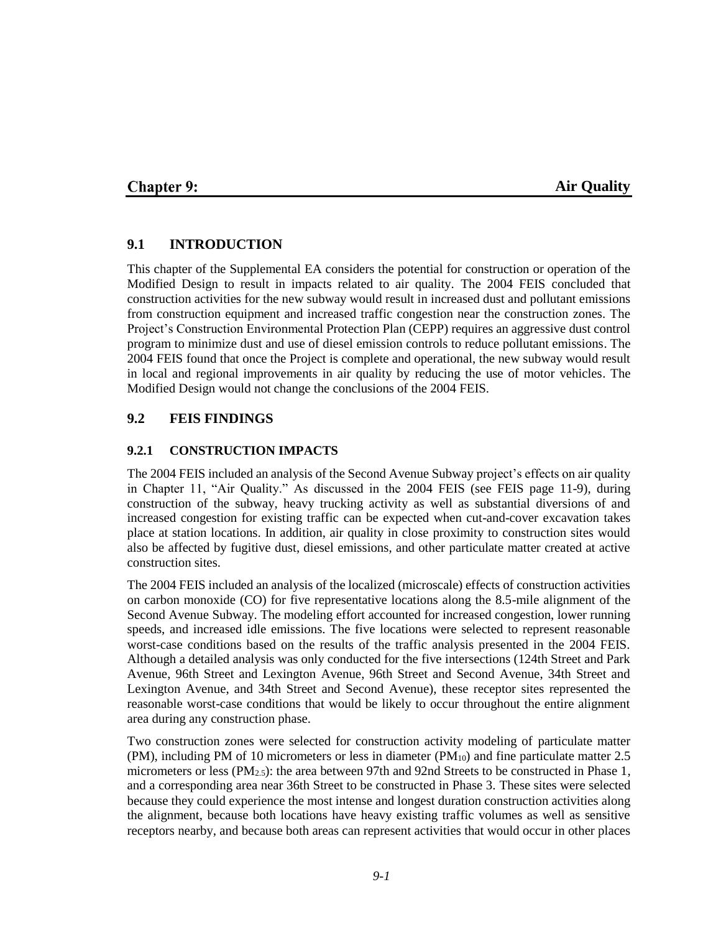## **Chapter 9:**

### **Air Quality**

### **9.1 INTRODUCTION**

This chapter of the Supplemental EA considers the potential for construction or operation of the Modified Design to result in impacts related to air quality. The 2004 FEIS concluded that construction activities for the new subway would result in increased dust and pollutant emissions from construction equipment and increased traffic congestion near the construction zones. The Project's Construction Environmental Protection Plan (CEPP) requires an aggressive dust control program to minimize dust and use of diesel emission controls to reduce pollutant emissions. The 2004 FEIS found that once the Project is complete and operational, the new subway would result in local and regional improvements in air quality by reducing the use of motor vehicles. The Modified Design would not change the conclusions of the 2004 FEIS.

### **9.2 FEIS FINDINGS**

#### **9.2.1 CONSTRUCTION IMPACTS**

The 2004 FEIS included an analysis of the Second Avenue Subway project's effects on air quality in Chapter 11, "Air Quality." As discussed in the 2004 FEIS (see FEIS page 11-9), during construction of the subway, heavy trucking activity as well as substantial diversions of and increased congestion for existing traffic can be expected when cut-and-cover excavation takes place at station locations. In addition, air quality in close proximity to construction sites would also be affected by fugitive dust, diesel emissions, and other particulate matter created at active construction sites.

The 2004 FEIS included an analysis of the localized (microscale) effects of construction activities on carbon monoxide (CO) for five representative locations along the 8.5-mile alignment of the Second Avenue Subway. The modeling effort accounted for increased congestion, lower running speeds, and increased idle emissions. The five locations were selected to represent reasonable worst-case conditions based on the results of the traffic analysis presented in the 2004 FEIS. Although a detailed analysis was only conducted for the five intersections (124th Street and Park Avenue, 96th Street and Lexington Avenue, 96th Street and Second Avenue, 34th Street and Lexington Avenue, and 34th Street and Second Avenue), these receptor sites represented the reasonable worst-case conditions that would be likely to occur throughout the entire alignment area during any construction phase.

Two construction zones were selected for construction activity modeling of particulate matter  $(PM)$ , including PM of 10 micrometers or less in diameter  $(PM<sub>10</sub>)$  and fine particulate matter 2.5 micrometers or less (PM<sub>2.5</sub>): the area between 97th and 92nd Streets to be constructed in Phase 1, and a corresponding area near 36th Street to be constructed in Phase 3. These sites were selected because they could experience the most intense and longest duration construction activities along the alignment, because both locations have heavy existing traffic volumes as well as sensitive receptors nearby, and because both areas can represent activities that would occur in other places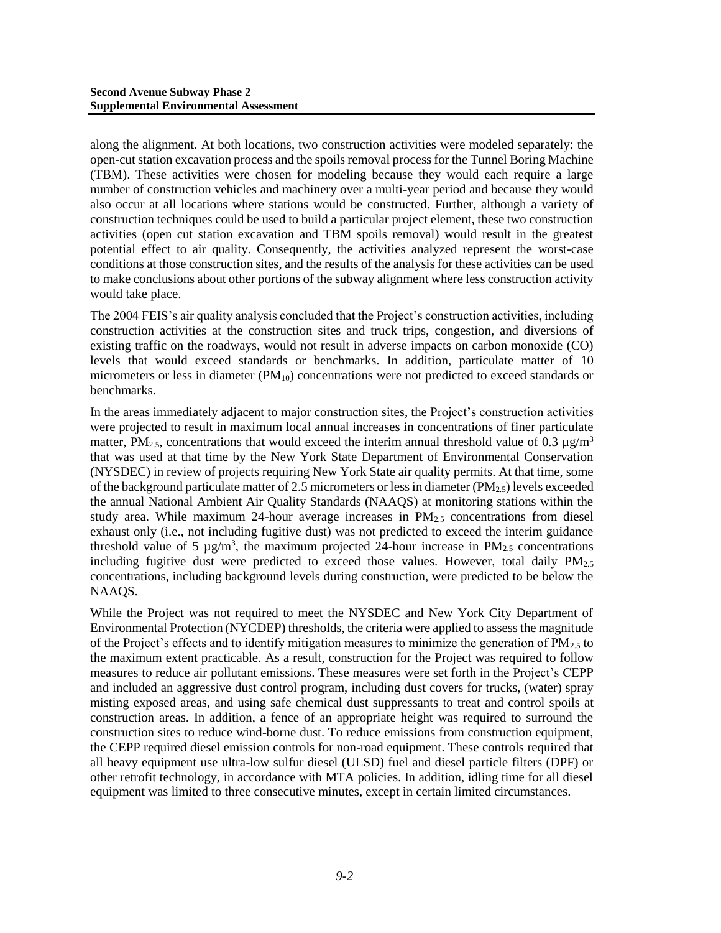along the alignment. At both locations, two construction activities were modeled separately: the open-cut station excavation process and the spoils removal process for the Tunnel Boring Machine (TBM). These activities were chosen for modeling because they would each require a large number of construction vehicles and machinery over a multi-year period and because they would also occur at all locations where stations would be constructed. Further, although a variety of construction techniques could be used to build a particular project element, these two construction activities (open cut station excavation and TBM spoils removal) would result in the greatest potential effect to air quality. Consequently, the activities analyzed represent the worst-case conditions at those construction sites, and the results of the analysis for these activities can be used to make conclusions about other portions of the subway alignment where less construction activity would take place.

The 2004 FEIS's air quality analysis concluded that the Project's construction activities, including construction activities at the construction sites and truck trips, congestion, and diversions of existing traffic on the roadways, would not result in adverse impacts on carbon monoxide (CO) levels that would exceed standards or benchmarks. In addition, particulate matter of 10 micrometers or less in diameter  $(PM_{10})$  concentrations were not predicted to exceed standards or benchmarks.

In the areas immediately adjacent to major construction sites, the Project's construction activities were projected to result in maximum local annual increases in concentrations of finer particulate matter, PM<sub>2.5</sub>, concentrations that would exceed the interim annual threshold value of 0.3  $\mu$ g/m<sup>3</sup> that was used at that time by the New York State Department of Environmental Conservation (NYSDEC) in review of projects requiring New York State air quality permits. At that time, some of the background particulate matter of 2.5 micrometers or less in diameter  $(PM_{2.5})$  levels exceeded the annual National Ambient Air Quality Standards (NAAQS) at monitoring stations within the study area. While maximum 24-hour average increases in  $PM<sub>2.5</sub>$  concentrations from diesel exhaust only (i.e., not including fugitive dust) was not predicted to exceed the interim guidance threshold value of 5  $\mu$ g/m<sup>3</sup>, the maximum projected 24-hour increase in PM<sub>2.5</sub> concentrations including fugitive dust were predicted to exceed those values. However, total daily  $PM_{2.5}$ concentrations, including background levels during construction, were predicted to be below the NAAQS.

While the Project was not required to meet the NYSDEC and New York City Department of Environmental Protection (NYCDEP) thresholds, the criteria were applied to assess the magnitude of the Project's effects and to identify mitigation measures to minimize the generation of  $PM_{2.5}$  to the maximum extent practicable. As a result, construction for the Project was required to follow measures to reduce air pollutant emissions. These measures were set forth in the Project's CEPP and included an aggressive dust control program, including dust covers for trucks, (water) spray misting exposed areas, and using safe chemical dust suppressants to treat and control spoils at construction areas. In addition, a fence of an appropriate height was required to surround the construction sites to reduce wind-borne dust. To reduce emissions from construction equipment, the CEPP required diesel emission controls for non-road equipment. These controls required that all heavy equipment use ultra-low sulfur diesel (ULSD) fuel and diesel particle filters (DPF) or other retrofit technology, in accordance with MTA policies. In addition, idling time for all diesel equipment was limited to three consecutive minutes, except in certain limited circumstances.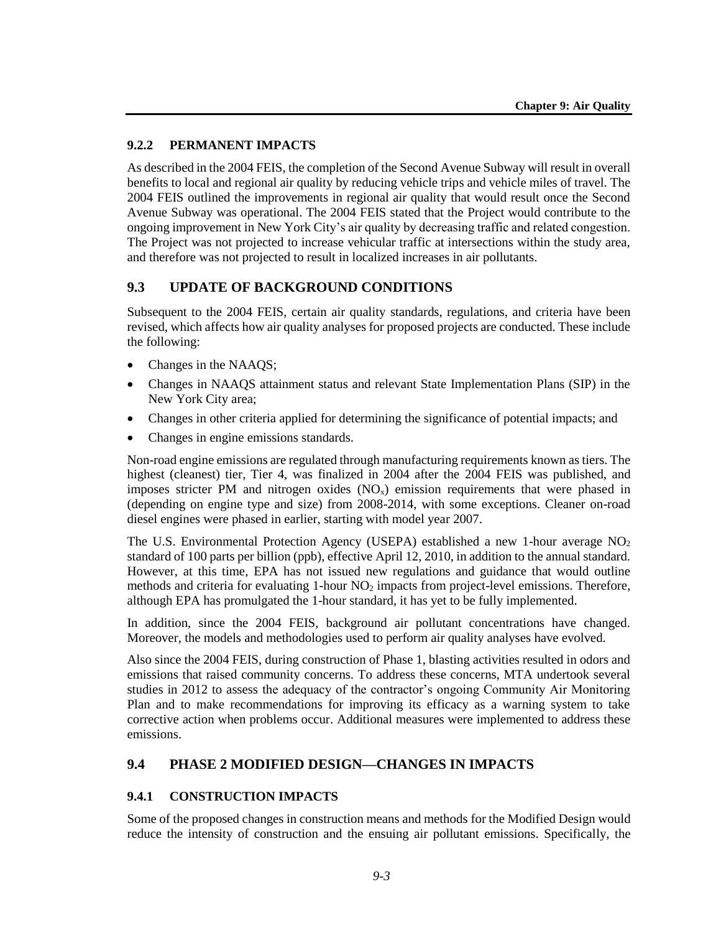## **9.2.2 PERMANENT IMPACTS**

As described in the 2004 FEIS, the completion of the Second Avenue Subway will result in overall benefits to local and regional air quality by reducing vehicle trips and vehicle miles of travel. The 2004 FEIS outlined the improvements in regional air quality that would result once the Second Avenue Subway was operational. The 2004 FEIS stated that the Project would contribute to the ongoing improvement in New York City's air quality by decreasing traffic and related congestion. The Project was not projected to increase vehicular traffic at intersections within the study area, and therefore was not projected to result in localized increases in air pollutants.

## **9.3 UPDATE OF BACKGROUND CONDITIONS**

Subsequent to the 2004 FEIS, certain air quality standards, regulations, and criteria have been revised, which affects how air quality analyses for proposed projects are conducted. These include the following:

- Changes in the NAAQS;
- Changes in NAAQS attainment status and relevant State Implementation Plans (SIP) in the New York City area;
- Changes in other criteria applied for determining the significance of potential impacts; and
- Changes in engine emissions standards.

Non-road engine emissions are regulated through manufacturing requirements known as tiers. The highest (cleanest) tier, Tier 4, was finalized in 2004 after the 2004 FEIS was published, and imposes stricter PM and nitrogen oxides  $(NO<sub>x</sub>)$  emission requirements that were phased in (depending on engine type and size) from 2008-2014, with some exceptions. Cleaner on-road diesel engines were phased in earlier, starting with model year 2007.

The U.S. Environmental Protection Agency (USEPA) established a new 1-hour average  $NO<sub>2</sub>$ standard of 100 parts per billion (ppb), effective April 12, 2010, in addition to the annual standard. However, at this time, EPA has not issued new regulations and guidance that would outline methods and criteria for evaluating  $1$ -hour  $NO<sub>2</sub>$  impacts from project-level emissions. Therefore, although EPA has promulgated the 1-hour standard, it has yet to be fully implemented.

In addition, since the 2004 FEIS, background air pollutant concentrations have changed. Moreover, the models and methodologies used to perform air quality analyses have evolved.

Also since the 2004 FEIS, during construction of Phase 1, blasting activities resulted in odors and emissions that raised community concerns. To address these concerns, MTA undertook several studies in 2012 to assess the adequacy of the contractor's ongoing Community Air Monitoring Plan and to make recommendations for improving its efficacy as a warning system to take corrective action when problems occur. Additional measures were implemented to address these emissions.

# **9.4 PHASE 2 MODIFIED DESIGN—CHANGES IN IMPACTS**

### **9.4.1 CONSTRUCTION IMPACTS**

Some of the proposed changes in construction means and methods for the Modified Design would reduce the intensity of construction and the ensuing air pollutant emissions. Specifically, the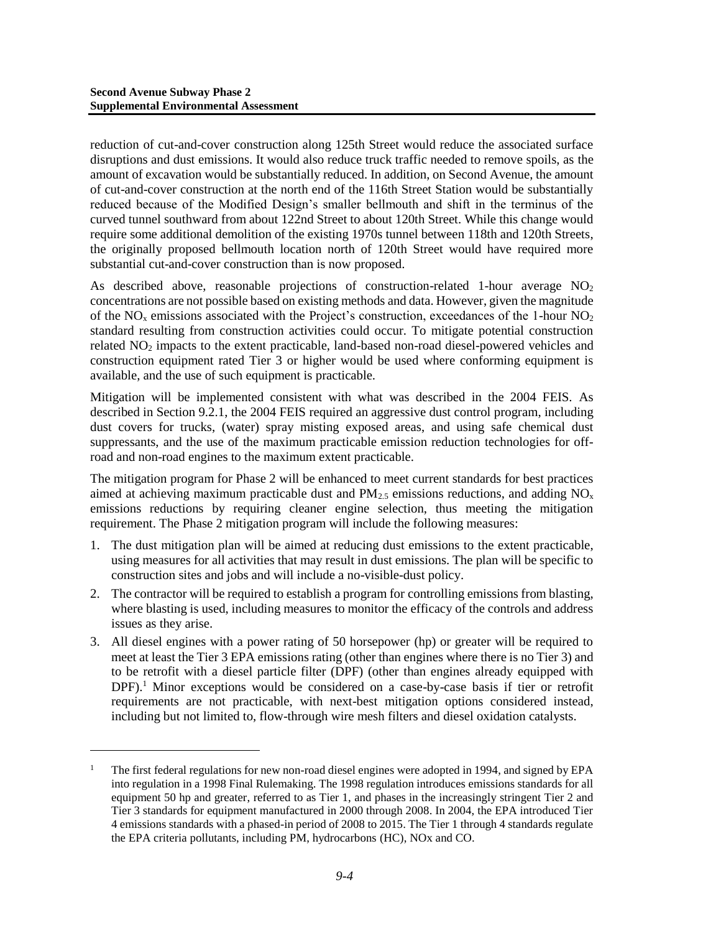l

reduction of cut-and-cover construction along 125th Street would reduce the associated surface disruptions and dust emissions. It would also reduce truck traffic needed to remove spoils, as the amount of excavation would be substantially reduced. In addition, on Second Avenue, the amount of cut-and-cover construction at the north end of the 116th Street Station would be substantially reduced because of the Modified Design's smaller bellmouth and shift in the terminus of the curved tunnel southward from about 122nd Street to about 120th Street. While this change would require some additional demolition of the existing 1970s tunnel between 118th and 120th Streets, the originally proposed bellmouth location north of 120th Street would have required more substantial cut-and-cover construction than is now proposed.

As described above, reasonable projections of construction-related 1-hour average  $NO<sub>2</sub>$ concentrations are not possible based on existing methods and data. However, given the magnitude of the  $NO<sub>x</sub>$  emissions associated with the Project's construction, exceedances of the 1-hour  $NO<sub>2</sub>$ standard resulting from construction activities could occur. To mitigate potential construction related NO<sup>2</sup> impacts to the extent practicable, land-based non-road diesel-powered vehicles and construction equipment rated Tier 3 or higher would be used where conforming equipment is available, and the use of such equipment is practicable.

Mitigation will be implemented consistent with what was described in the 2004 FEIS. As described in Section 9.2.1, the 2004 FEIS required an aggressive dust control program, including dust covers for trucks, (water) spray misting exposed areas, and using safe chemical dust suppressants, and the use of the maximum practicable emission reduction technologies for offroad and non-road engines to the maximum extent practicable.

The mitigation program for Phase 2 will be enhanced to meet current standards for best practices aimed at achieving maximum practicable dust and  $PM_{2.5}$  emissions reductions, and adding  $NO<sub>x</sub>$ emissions reductions by requiring cleaner engine selection, thus meeting the mitigation requirement. The Phase 2 mitigation program will include the following measures:

- 1. The dust mitigation plan will be aimed at reducing dust emissions to the extent practicable, using measures for all activities that may result in dust emissions. The plan will be specific to construction sites and jobs and will include a no-visible-dust policy.
- 2. The contractor will be required to establish a program for controlling emissions from blasting, where blasting is used, including measures to monitor the efficacy of the controls and address issues as they arise.
- 3. All diesel engines with a power rating of 50 horsepower (hp) or greater will be required to meet at least the Tier 3 EPA emissions rating (other than engines where there is no Tier 3) and to be retrofit with a diesel particle filter (DPF) (other than engines already equipped with DPF).<sup>1</sup> Minor exceptions would be considered on a case-by-case basis if tier or retrofit requirements are not practicable, with next-best mitigation options considered instead, including but not limited to, flow-through wire mesh filters and diesel oxidation catalysts.

<sup>1</sup> The first federal regulations for new non-road diesel engines were adopted in 1994, and signed by EPA into regulation in a 1998 Final Rulemaking. The 1998 regulation introduces emissions standards for all equipment 50 hp and greater, referred to as Tier 1, and phases in the increasingly stringent Tier 2 and Tier 3 standards for equipment manufactured in 2000 through 2008. In 2004, the EPA introduced Tier 4 emissions standards with a phased-in period of 2008 to 2015. The Tier 1 through 4 standards regulate the EPA criteria pollutants, including PM, hydrocarbons (HC), NOx and CO.